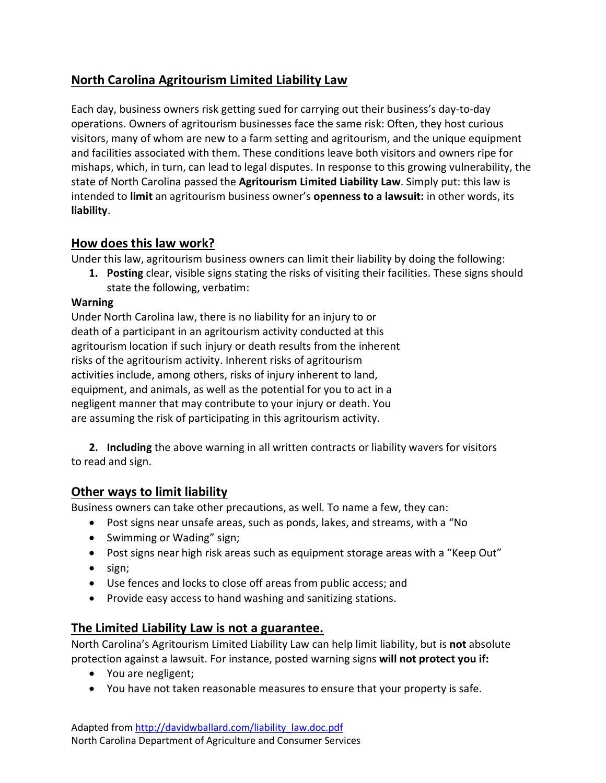# **North Carolina Agritourism Limited Liability Law**

Each day, business owners risk getting sued for carrying out their business's day-to-day operations. Owners of agritourism businesses face the same risk: Often, they host curious visitors, many of whom are new to a farm setting and agritourism, and the unique equipment and facilities associated with them. These conditions leave both visitors and owners ripe for mishaps, which, in turn, can lead to legal disputes. In response to this growing vulnerability, the state of North Carolina passed the **Agritourism Limited Liability Law**. Simply put: this law is intended to **limit** an agritourism business owner's **openness to a lawsuit:** in other words, its **liability**.

## **How does this law work?**

Under this law, agritourism business owners can limit their liability by doing the following:

**1. Posting** clear, visible signs stating the risks of visiting their facilities. These signs should state the following, verbatim:

### **Warning**

Under North Carolina law, there is no liability for an injury to or death of a participant in an agritourism activity conducted at this agritourism location if such injury or death results from the inherent risks of the agritourism activity. Inherent risks of agritourism activities include, among others, risks of injury inherent to land, equipment, and animals, as well as the potential for you to act in a negligent manner that may contribute to your injury or death. You are assuming the risk of participating in this agritourism activity.

**2. Including** the above warning in all written contracts or liability wavers for visitors to read and sign.

## **Other ways to limit liability**

Business owners can take other precautions, as well. To name a few, they can:

- Post signs near unsafe areas, such as ponds, lakes, and streams, with a "No
- Swimming or Wading" sign;
- Post signs near high risk areas such as equipment storage areas with a "Keep Out"
- sign;
- Use fences and locks to close off areas from public access; and
- Provide easy access to hand washing and sanitizing stations.

### **The Limited Liability Law is not a guarantee.**

North Carolina's Agritourism Limited Liability Law can help limit liability, but is **not** absolute protection against a lawsuit. For instance, posted warning signs **will not protect you if:**

- You are negligent;
- You have not taken reasonable measures to ensure that your property is safe.